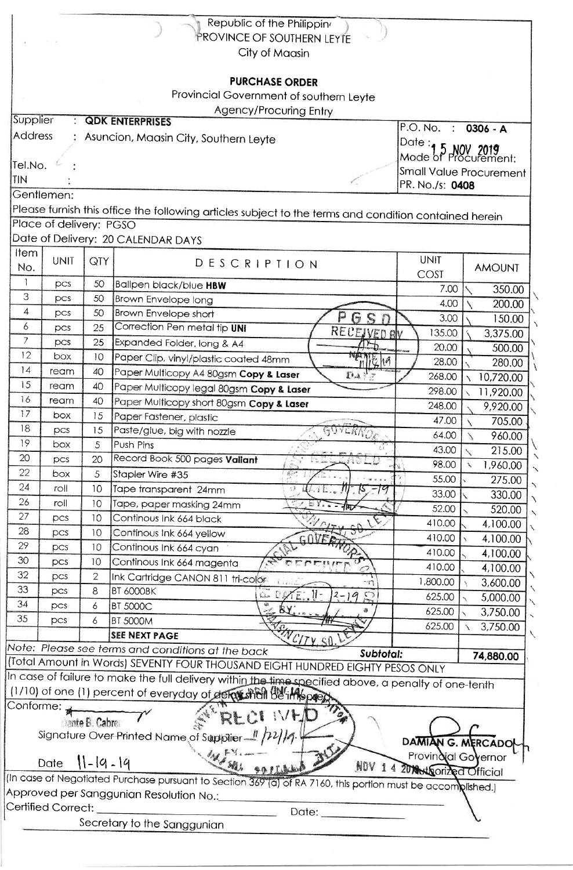| City of Maasin<br><b>PURCHASE ORDER</b><br>Provincial Government of southern Leyte<br>Agency/Procuring Entry<br>Supplier<br><b>QDK ENTERPRISES</b><br>P.O. No. : 0306 - A<br><b>Address</b><br>Asuncion, Maasin City, Southern Leyte<br>Date $:$<br>$\mathbf{r}$<br>Mode of Procurement:<br>Tel.No.<br>Small Value Procurement<br>TIN<br>PR. No./s: 0408<br>Gentlemen:<br>Please furnish this office the following articles subject to the terms and condition contained herein<br>Place of delivery: PGSO<br>Date of Delivery: 20 CALENDAR DAYS<br>Item<br><b>UNIT</b><br><b>UNIT</b><br>QTY<br>DESCRIPTION<br>No.<br><b>AMOUNT</b><br>COST<br>1<br>50<br>Ballpen black/blue HBW<br>pcs<br>7.00<br>3<br>50<br>pcs<br><b>Brown Envelope long</b><br>4.00<br>4<br>50<br>Brown Envelope short<br>pcs<br>P<br>3.00<br>$\Gamma$<br>6<br>Correction Pen metal tip UNI<br>25<br>pcs<br><b>RECEIVED BY</b><br>135.00<br>$\overline{7}$<br>25<br>Expanded Folder, long & A4<br><b>DCS</b><br>20.00<br>12<br>box<br>10<br>Paper Clip, vinyl/plastic coated 48mm<br>$n\mathbb{Z}$<br>28.00<br> 4<br>40<br>ream<br>Paper Multicopy A4 80gsm Copy & Laser<br>$DA \nmid \frac{1}{2}$<br>268.00<br>15<br>40<br>ream<br>Paper Multicopy legal 80gsm Copy & Laser<br>298.00<br>16<br>40<br>ream<br>Paper Multicopy short 80gsm Copy & Laser<br>248.00<br>17<br>15<br>box<br>Paper Fastener, plastic<br>47.00<br>18<br>GOVERNOE<br>pcs<br>15<br>Paste/glue, big with nozzle<br>64.00<br>19<br>Push Pins<br>box<br>5<br>43.00<br>20<br>Record Book 500 pages Vallant<br>20<br>pcs<br>98.00<br>22<br>Stapler Wire #35<br>box<br>5<br>55.00<br>24<br>10<br>roll<br>Tape transparent 24mm<br>O.<br>33.00<br>26<br>roll<br>10<br>Tape, paper masking 24mm<br>52.00<br>27<br>10<br>Continous Ink 664 black<br>pcs<br>410.00<br>28<br>10<br>Continous Ink 664 yellow<br>pcs<br>410.00<br>29<br>10<br>Continous Ink 664 cyan<br>pcs<br>410.00<br>30<br>10<br>Continous Ink 664 magenta<br>pcs<br>410.00<br>32<br>$\overline{2}$<br>pcs<br>Ink Cartridge CANON 811 tri-color<br>1,800.00<br>3,600.00<br>TŢ<br>33<br>8<br><b>BT 6000BK</b><br>pcs<br>$\cup$<br>$2 - 19$<br>صفيأ<br>625.00<br>34<br>6<br><b>BT 5000C</b><br>pcs<br>625.00<br>35<br><b>BT 5000M</b><br>pcs<br>6<br>625.00<br>3,750.00<br><b>SEE NEXT PAGE</b><br>$\gamma_{\ell\gamma}$<br>Note: Please see terms and conditions at the back<br>Subtotal:<br>74,880.00<br>(Total Amount in Words) SEVENTY FOUR THOUSAND EIGHT HUNDRED EIGHTY PESOS ONLY<br>In case of failure to make the full delivery within the time specified above, a penalty of one-tenth<br>(1/10) of one (1) percent of everyday of dermished be imposed<br>Conforme:<br><b>IVED</b> | Republic of the Philippin<br>PROVINCE OF SOUTHERN LEYTE |  |  |  |  |           |  |  |  |  |  |
|------------------------------------------------------------------------------------------------------------------------------------------------------------------------------------------------------------------------------------------------------------------------------------------------------------------------------------------------------------------------------------------------------------------------------------------------------------------------------------------------------------------------------------------------------------------------------------------------------------------------------------------------------------------------------------------------------------------------------------------------------------------------------------------------------------------------------------------------------------------------------------------------------------------------------------------------------------------------------------------------------------------------------------------------------------------------------------------------------------------------------------------------------------------------------------------------------------------------------------------------------------------------------------------------------------------------------------------------------------------------------------------------------------------------------------------------------------------------------------------------------------------------------------------------------------------------------------------------------------------------------------------------------------------------------------------------------------------------------------------------------------------------------------------------------------------------------------------------------------------------------------------------------------------------------------------------------------------------------------------------------------------------------------------------------------------------------------------------------------------------------------------------------------------------------------------------------------------------------------------------------------------------------------------------------------------------------------------------------------------------------------------------------------------------------------------------------------------------------------------------------------------------------------------------------------------------------------------------------------------------------------------------------------------------------------------------|---------------------------------------------------------|--|--|--|--|-----------|--|--|--|--|--|
|                                                                                                                                                                                                                                                                                                                                                                                                                                                                                                                                                                                                                                                                                                                                                                                                                                                                                                                                                                                                                                                                                                                                                                                                                                                                                                                                                                                                                                                                                                                                                                                                                                                                                                                                                                                                                                                                                                                                                                                                                                                                                                                                                                                                                                                                                                                                                                                                                                                                                                                                                                                                                                                                                                |                                                         |  |  |  |  |           |  |  |  |  |  |
|                                                                                                                                                                                                                                                                                                                                                                                                                                                                                                                                                                                                                                                                                                                                                                                                                                                                                                                                                                                                                                                                                                                                                                                                                                                                                                                                                                                                                                                                                                                                                                                                                                                                                                                                                                                                                                                                                                                                                                                                                                                                                                                                                                                                                                                                                                                                                                                                                                                                                                                                                                                                                                                                                                |                                                         |  |  |  |  |           |  |  |  |  |  |
|                                                                                                                                                                                                                                                                                                                                                                                                                                                                                                                                                                                                                                                                                                                                                                                                                                                                                                                                                                                                                                                                                                                                                                                                                                                                                                                                                                                                                                                                                                                                                                                                                                                                                                                                                                                                                                                                                                                                                                                                                                                                                                                                                                                                                                                                                                                                                                                                                                                                                                                                                                                                                                                                                                |                                                         |  |  |  |  |           |  |  |  |  |  |
|                                                                                                                                                                                                                                                                                                                                                                                                                                                                                                                                                                                                                                                                                                                                                                                                                                                                                                                                                                                                                                                                                                                                                                                                                                                                                                                                                                                                                                                                                                                                                                                                                                                                                                                                                                                                                                                                                                                                                                                                                                                                                                                                                                                                                                                                                                                                                                                                                                                                                                                                                                                                                                                                                                |                                                         |  |  |  |  |           |  |  |  |  |  |
|                                                                                                                                                                                                                                                                                                                                                                                                                                                                                                                                                                                                                                                                                                                                                                                                                                                                                                                                                                                                                                                                                                                                                                                                                                                                                                                                                                                                                                                                                                                                                                                                                                                                                                                                                                                                                                                                                                                                                                                                                                                                                                                                                                                                                                                                                                                                                                                                                                                                                                                                                                                                                                                                                                |                                                         |  |  |  |  |           |  |  |  |  |  |
|                                                                                                                                                                                                                                                                                                                                                                                                                                                                                                                                                                                                                                                                                                                                                                                                                                                                                                                                                                                                                                                                                                                                                                                                                                                                                                                                                                                                                                                                                                                                                                                                                                                                                                                                                                                                                                                                                                                                                                                                                                                                                                                                                                                                                                                                                                                                                                                                                                                                                                                                                                                                                                                                                                |                                                         |  |  |  |  |           |  |  |  |  |  |
|                                                                                                                                                                                                                                                                                                                                                                                                                                                                                                                                                                                                                                                                                                                                                                                                                                                                                                                                                                                                                                                                                                                                                                                                                                                                                                                                                                                                                                                                                                                                                                                                                                                                                                                                                                                                                                                                                                                                                                                                                                                                                                                                                                                                                                                                                                                                                                                                                                                                                                                                                                                                                                                                                                |                                                         |  |  |  |  |           |  |  |  |  |  |
|                                                                                                                                                                                                                                                                                                                                                                                                                                                                                                                                                                                                                                                                                                                                                                                                                                                                                                                                                                                                                                                                                                                                                                                                                                                                                                                                                                                                                                                                                                                                                                                                                                                                                                                                                                                                                                                                                                                                                                                                                                                                                                                                                                                                                                                                                                                                                                                                                                                                                                                                                                                                                                                                                                |                                                         |  |  |  |  |           |  |  |  |  |  |
|                                                                                                                                                                                                                                                                                                                                                                                                                                                                                                                                                                                                                                                                                                                                                                                                                                                                                                                                                                                                                                                                                                                                                                                                                                                                                                                                                                                                                                                                                                                                                                                                                                                                                                                                                                                                                                                                                                                                                                                                                                                                                                                                                                                                                                                                                                                                                                                                                                                                                                                                                                                                                                                                                                |                                                         |  |  |  |  |           |  |  |  |  |  |
|                                                                                                                                                                                                                                                                                                                                                                                                                                                                                                                                                                                                                                                                                                                                                                                                                                                                                                                                                                                                                                                                                                                                                                                                                                                                                                                                                                                                                                                                                                                                                                                                                                                                                                                                                                                                                                                                                                                                                                                                                                                                                                                                                                                                                                                                                                                                                                                                                                                                                                                                                                                                                                                                                                |                                                         |  |  |  |  |           |  |  |  |  |  |
|                                                                                                                                                                                                                                                                                                                                                                                                                                                                                                                                                                                                                                                                                                                                                                                                                                                                                                                                                                                                                                                                                                                                                                                                                                                                                                                                                                                                                                                                                                                                                                                                                                                                                                                                                                                                                                                                                                                                                                                                                                                                                                                                                                                                                                                                                                                                                                                                                                                                                                                                                                                                                                                                                                |                                                         |  |  |  |  |           |  |  |  |  |  |
|                                                                                                                                                                                                                                                                                                                                                                                                                                                                                                                                                                                                                                                                                                                                                                                                                                                                                                                                                                                                                                                                                                                                                                                                                                                                                                                                                                                                                                                                                                                                                                                                                                                                                                                                                                                                                                                                                                                                                                                                                                                                                                                                                                                                                                                                                                                                                                                                                                                                                                                                                                                                                                                                                                |                                                         |  |  |  |  |           |  |  |  |  |  |
|                                                                                                                                                                                                                                                                                                                                                                                                                                                                                                                                                                                                                                                                                                                                                                                                                                                                                                                                                                                                                                                                                                                                                                                                                                                                                                                                                                                                                                                                                                                                                                                                                                                                                                                                                                                                                                                                                                                                                                                                                                                                                                                                                                                                                                                                                                                                                                                                                                                                                                                                                                                                                                                                                                |                                                         |  |  |  |  |           |  |  |  |  |  |
|                                                                                                                                                                                                                                                                                                                                                                                                                                                                                                                                                                                                                                                                                                                                                                                                                                                                                                                                                                                                                                                                                                                                                                                                                                                                                                                                                                                                                                                                                                                                                                                                                                                                                                                                                                                                                                                                                                                                                                                                                                                                                                                                                                                                                                                                                                                                                                                                                                                                                                                                                                                                                                                                                                |                                                         |  |  |  |  |           |  |  |  |  |  |
|                                                                                                                                                                                                                                                                                                                                                                                                                                                                                                                                                                                                                                                                                                                                                                                                                                                                                                                                                                                                                                                                                                                                                                                                                                                                                                                                                                                                                                                                                                                                                                                                                                                                                                                                                                                                                                                                                                                                                                                                                                                                                                                                                                                                                                                                                                                                                                                                                                                                                                                                                                                                                                                                                                |                                                         |  |  |  |  |           |  |  |  |  |  |
|                                                                                                                                                                                                                                                                                                                                                                                                                                                                                                                                                                                                                                                                                                                                                                                                                                                                                                                                                                                                                                                                                                                                                                                                                                                                                                                                                                                                                                                                                                                                                                                                                                                                                                                                                                                                                                                                                                                                                                                                                                                                                                                                                                                                                                                                                                                                                                                                                                                                                                                                                                                                                                                                                                |                                                         |  |  |  |  |           |  |  |  |  |  |
|                                                                                                                                                                                                                                                                                                                                                                                                                                                                                                                                                                                                                                                                                                                                                                                                                                                                                                                                                                                                                                                                                                                                                                                                                                                                                                                                                                                                                                                                                                                                                                                                                                                                                                                                                                                                                                                                                                                                                                                                                                                                                                                                                                                                                                                                                                                                                                                                                                                                                                                                                                                                                                                                                                |                                                         |  |  |  |  | 350.00    |  |  |  |  |  |
|                                                                                                                                                                                                                                                                                                                                                                                                                                                                                                                                                                                                                                                                                                                                                                                                                                                                                                                                                                                                                                                                                                                                                                                                                                                                                                                                                                                                                                                                                                                                                                                                                                                                                                                                                                                                                                                                                                                                                                                                                                                                                                                                                                                                                                                                                                                                                                                                                                                                                                                                                                                                                                                                                                |                                                         |  |  |  |  | 200.00    |  |  |  |  |  |
|                                                                                                                                                                                                                                                                                                                                                                                                                                                                                                                                                                                                                                                                                                                                                                                                                                                                                                                                                                                                                                                                                                                                                                                                                                                                                                                                                                                                                                                                                                                                                                                                                                                                                                                                                                                                                                                                                                                                                                                                                                                                                                                                                                                                                                                                                                                                                                                                                                                                                                                                                                                                                                                                                                |                                                         |  |  |  |  | 150.00    |  |  |  |  |  |
|                                                                                                                                                                                                                                                                                                                                                                                                                                                                                                                                                                                                                                                                                                                                                                                                                                                                                                                                                                                                                                                                                                                                                                                                                                                                                                                                                                                                                                                                                                                                                                                                                                                                                                                                                                                                                                                                                                                                                                                                                                                                                                                                                                                                                                                                                                                                                                                                                                                                                                                                                                                                                                                                                                |                                                         |  |  |  |  | 3,375.00  |  |  |  |  |  |
|                                                                                                                                                                                                                                                                                                                                                                                                                                                                                                                                                                                                                                                                                                                                                                                                                                                                                                                                                                                                                                                                                                                                                                                                                                                                                                                                                                                                                                                                                                                                                                                                                                                                                                                                                                                                                                                                                                                                                                                                                                                                                                                                                                                                                                                                                                                                                                                                                                                                                                                                                                                                                                                                                                |                                                         |  |  |  |  | 500.00    |  |  |  |  |  |
|                                                                                                                                                                                                                                                                                                                                                                                                                                                                                                                                                                                                                                                                                                                                                                                                                                                                                                                                                                                                                                                                                                                                                                                                                                                                                                                                                                                                                                                                                                                                                                                                                                                                                                                                                                                                                                                                                                                                                                                                                                                                                                                                                                                                                                                                                                                                                                                                                                                                                                                                                                                                                                                                                                |                                                         |  |  |  |  | 280.00    |  |  |  |  |  |
|                                                                                                                                                                                                                                                                                                                                                                                                                                                                                                                                                                                                                                                                                                                                                                                                                                                                                                                                                                                                                                                                                                                                                                                                                                                                                                                                                                                                                                                                                                                                                                                                                                                                                                                                                                                                                                                                                                                                                                                                                                                                                                                                                                                                                                                                                                                                                                                                                                                                                                                                                                                                                                                                                                |                                                         |  |  |  |  | 10,720.00 |  |  |  |  |  |
|                                                                                                                                                                                                                                                                                                                                                                                                                                                                                                                                                                                                                                                                                                                                                                                                                                                                                                                                                                                                                                                                                                                                                                                                                                                                                                                                                                                                                                                                                                                                                                                                                                                                                                                                                                                                                                                                                                                                                                                                                                                                                                                                                                                                                                                                                                                                                                                                                                                                                                                                                                                                                                                                                                |                                                         |  |  |  |  | 11,920.00 |  |  |  |  |  |
|                                                                                                                                                                                                                                                                                                                                                                                                                                                                                                                                                                                                                                                                                                                                                                                                                                                                                                                                                                                                                                                                                                                                                                                                                                                                                                                                                                                                                                                                                                                                                                                                                                                                                                                                                                                                                                                                                                                                                                                                                                                                                                                                                                                                                                                                                                                                                                                                                                                                                                                                                                                                                                                                                                |                                                         |  |  |  |  | 9,920.00  |  |  |  |  |  |
|                                                                                                                                                                                                                                                                                                                                                                                                                                                                                                                                                                                                                                                                                                                                                                                                                                                                                                                                                                                                                                                                                                                                                                                                                                                                                                                                                                                                                                                                                                                                                                                                                                                                                                                                                                                                                                                                                                                                                                                                                                                                                                                                                                                                                                                                                                                                                                                                                                                                                                                                                                                                                                                                                                |                                                         |  |  |  |  | 705.00    |  |  |  |  |  |
|                                                                                                                                                                                                                                                                                                                                                                                                                                                                                                                                                                                                                                                                                                                                                                                                                                                                                                                                                                                                                                                                                                                                                                                                                                                                                                                                                                                                                                                                                                                                                                                                                                                                                                                                                                                                                                                                                                                                                                                                                                                                                                                                                                                                                                                                                                                                                                                                                                                                                                                                                                                                                                                                                                |                                                         |  |  |  |  | 960.00    |  |  |  |  |  |
|                                                                                                                                                                                                                                                                                                                                                                                                                                                                                                                                                                                                                                                                                                                                                                                                                                                                                                                                                                                                                                                                                                                                                                                                                                                                                                                                                                                                                                                                                                                                                                                                                                                                                                                                                                                                                                                                                                                                                                                                                                                                                                                                                                                                                                                                                                                                                                                                                                                                                                                                                                                                                                                                                                |                                                         |  |  |  |  | 215.00    |  |  |  |  |  |
|                                                                                                                                                                                                                                                                                                                                                                                                                                                                                                                                                                                                                                                                                                                                                                                                                                                                                                                                                                                                                                                                                                                                                                                                                                                                                                                                                                                                                                                                                                                                                                                                                                                                                                                                                                                                                                                                                                                                                                                                                                                                                                                                                                                                                                                                                                                                                                                                                                                                                                                                                                                                                                                                                                |                                                         |  |  |  |  | 1,960.00  |  |  |  |  |  |
|                                                                                                                                                                                                                                                                                                                                                                                                                                                                                                                                                                                                                                                                                                                                                                                                                                                                                                                                                                                                                                                                                                                                                                                                                                                                                                                                                                                                                                                                                                                                                                                                                                                                                                                                                                                                                                                                                                                                                                                                                                                                                                                                                                                                                                                                                                                                                                                                                                                                                                                                                                                                                                                                                                |                                                         |  |  |  |  | 275.00    |  |  |  |  |  |
|                                                                                                                                                                                                                                                                                                                                                                                                                                                                                                                                                                                                                                                                                                                                                                                                                                                                                                                                                                                                                                                                                                                                                                                                                                                                                                                                                                                                                                                                                                                                                                                                                                                                                                                                                                                                                                                                                                                                                                                                                                                                                                                                                                                                                                                                                                                                                                                                                                                                                                                                                                                                                                                                                                |                                                         |  |  |  |  | 330.00    |  |  |  |  |  |
|                                                                                                                                                                                                                                                                                                                                                                                                                                                                                                                                                                                                                                                                                                                                                                                                                                                                                                                                                                                                                                                                                                                                                                                                                                                                                                                                                                                                                                                                                                                                                                                                                                                                                                                                                                                                                                                                                                                                                                                                                                                                                                                                                                                                                                                                                                                                                                                                                                                                                                                                                                                                                                                                                                |                                                         |  |  |  |  | 520.00    |  |  |  |  |  |
|                                                                                                                                                                                                                                                                                                                                                                                                                                                                                                                                                                                                                                                                                                                                                                                                                                                                                                                                                                                                                                                                                                                                                                                                                                                                                                                                                                                                                                                                                                                                                                                                                                                                                                                                                                                                                                                                                                                                                                                                                                                                                                                                                                                                                                                                                                                                                                                                                                                                                                                                                                                                                                                                                                |                                                         |  |  |  |  | 4,100.00  |  |  |  |  |  |
|                                                                                                                                                                                                                                                                                                                                                                                                                                                                                                                                                                                                                                                                                                                                                                                                                                                                                                                                                                                                                                                                                                                                                                                                                                                                                                                                                                                                                                                                                                                                                                                                                                                                                                                                                                                                                                                                                                                                                                                                                                                                                                                                                                                                                                                                                                                                                                                                                                                                                                                                                                                                                                                                                                |                                                         |  |  |  |  | 4,100.00  |  |  |  |  |  |
|                                                                                                                                                                                                                                                                                                                                                                                                                                                                                                                                                                                                                                                                                                                                                                                                                                                                                                                                                                                                                                                                                                                                                                                                                                                                                                                                                                                                                                                                                                                                                                                                                                                                                                                                                                                                                                                                                                                                                                                                                                                                                                                                                                                                                                                                                                                                                                                                                                                                                                                                                                                                                                                                                                |                                                         |  |  |  |  | 4,100.00  |  |  |  |  |  |
|                                                                                                                                                                                                                                                                                                                                                                                                                                                                                                                                                                                                                                                                                                                                                                                                                                                                                                                                                                                                                                                                                                                                                                                                                                                                                                                                                                                                                                                                                                                                                                                                                                                                                                                                                                                                                                                                                                                                                                                                                                                                                                                                                                                                                                                                                                                                                                                                                                                                                                                                                                                                                                                                                                |                                                         |  |  |  |  | 4,100.00  |  |  |  |  |  |
|                                                                                                                                                                                                                                                                                                                                                                                                                                                                                                                                                                                                                                                                                                                                                                                                                                                                                                                                                                                                                                                                                                                                                                                                                                                                                                                                                                                                                                                                                                                                                                                                                                                                                                                                                                                                                                                                                                                                                                                                                                                                                                                                                                                                                                                                                                                                                                                                                                                                                                                                                                                                                                                                                                |                                                         |  |  |  |  |           |  |  |  |  |  |
|                                                                                                                                                                                                                                                                                                                                                                                                                                                                                                                                                                                                                                                                                                                                                                                                                                                                                                                                                                                                                                                                                                                                                                                                                                                                                                                                                                                                                                                                                                                                                                                                                                                                                                                                                                                                                                                                                                                                                                                                                                                                                                                                                                                                                                                                                                                                                                                                                                                                                                                                                                                                                                                                                                |                                                         |  |  |  |  | 5,000.00  |  |  |  |  |  |
|                                                                                                                                                                                                                                                                                                                                                                                                                                                                                                                                                                                                                                                                                                                                                                                                                                                                                                                                                                                                                                                                                                                                                                                                                                                                                                                                                                                                                                                                                                                                                                                                                                                                                                                                                                                                                                                                                                                                                                                                                                                                                                                                                                                                                                                                                                                                                                                                                                                                                                                                                                                                                                                                                                |                                                         |  |  |  |  | 3,750.00  |  |  |  |  |  |
|                                                                                                                                                                                                                                                                                                                                                                                                                                                                                                                                                                                                                                                                                                                                                                                                                                                                                                                                                                                                                                                                                                                                                                                                                                                                                                                                                                                                                                                                                                                                                                                                                                                                                                                                                                                                                                                                                                                                                                                                                                                                                                                                                                                                                                                                                                                                                                                                                                                                                                                                                                                                                                                                                                |                                                         |  |  |  |  |           |  |  |  |  |  |
|                                                                                                                                                                                                                                                                                                                                                                                                                                                                                                                                                                                                                                                                                                                                                                                                                                                                                                                                                                                                                                                                                                                                                                                                                                                                                                                                                                                                                                                                                                                                                                                                                                                                                                                                                                                                                                                                                                                                                                                                                                                                                                                                                                                                                                                                                                                                                                                                                                                                                                                                                                                                                                                                                                |                                                         |  |  |  |  |           |  |  |  |  |  |
|                                                                                                                                                                                                                                                                                                                                                                                                                                                                                                                                                                                                                                                                                                                                                                                                                                                                                                                                                                                                                                                                                                                                                                                                                                                                                                                                                                                                                                                                                                                                                                                                                                                                                                                                                                                                                                                                                                                                                                                                                                                                                                                                                                                                                                                                                                                                                                                                                                                                                                                                                                                                                                                                                                |                                                         |  |  |  |  |           |  |  |  |  |  |
|                                                                                                                                                                                                                                                                                                                                                                                                                                                                                                                                                                                                                                                                                                                                                                                                                                                                                                                                                                                                                                                                                                                                                                                                                                                                                                                                                                                                                                                                                                                                                                                                                                                                                                                                                                                                                                                                                                                                                                                                                                                                                                                                                                                                                                                                                                                                                                                                                                                                                                                                                                                                                                                                                                |                                                         |  |  |  |  |           |  |  |  |  |  |
|                                                                                                                                                                                                                                                                                                                                                                                                                                                                                                                                                                                                                                                                                                                                                                                                                                                                                                                                                                                                                                                                                                                                                                                                                                                                                                                                                                                                                                                                                                                                                                                                                                                                                                                                                                                                                                                                                                                                                                                                                                                                                                                                                                                                                                                                                                                                                                                                                                                                                                                                                                                                                                                                                                |                                                         |  |  |  |  |           |  |  |  |  |  |
|                                                                                                                                                                                                                                                                                                                                                                                                                                                                                                                                                                                                                                                                                                                                                                                                                                                                                                                                                                                                                                                                                                                                                                                                                                                                                                                                                                                                                                                                                                                                                                                                                                                                                                                                                                                                                                                                                                                                                                                                                                                                                                                                                                                                                                                                                                                                                                                                                                                                                                                                                                                                                                                                                                |                                                         |  |  |  |  |           |  |  |  |  |  |
| Dante B. Cabrell                                                                                                                                                                                                                                                                                                                                                                                                                                                                                                                                                                                                                                                                                                                                                                                                                                                                                                                                                                                                                                                                                                                                                                                                                                                                                                                                                                                                                                                                                                                                                                                                                                                                                                                                                                                                                                                                                                                                                                                                                                                                                                                                                                                                                                                                                                                                                                                                                                                                                                                                                                                                                                                                               |                                                         |  |  |  |  |           |  |  |  |  |  |
| Signature Over Printed Name of Supplier 1 /22/14<br><b>DAMIAN G. MERCADO</b>                                                                                                                                                                                                                                                                                                                                                                                                                                                                                                                                                                                                                                                                                                                                                                                                                                                                                                                                                                                                                                                                                                                                                                                                                                                                                                                                                                                                                                                                                                                                                                                                                                                                                                                                                                                                                                                                                                                                                                                                                                                                                                                                                                                                                                                                                                                                                                                                                                                                                                                                                                                                                   |                                                         |  |  |  |  |           |  |  |  |  |  |
| Provindial Governor                                                                                                                                                                                                                                                                                                                                                                                                                                                                                                                                                                                                                                                                                                                                                                                                                                                                                                                                                                                                                                                                                                                                                                                                                                                                                                                                                                                                                                                                                                                                                                                                                                                                                                                                                                                                                                                                                                                                                                                                                                                                                                                                                                                                                                                                                                                                                                                                                                                                                                                                                                                                                                                                            |                                                         |  |  |  |  |           |  |  |  |  |  |
| WINER LIKE<br>$11-19-19$<br>Date<br><b>NOV</b><br>14<br>20 Not corrized Official                                                                                                                                                                                                                                                                                                                                                                                                                                                                                                                                                                                                                                                                                                                                                                                                                                                                                                                                                                                                                                                                                                                                                                                                                                                                                                                                                                                                                                                                                                                                                                                                                                                                                                                                                                                                                                                                                                                                                                                                                                                                                                                                                                                                                                                                                                                                                                                                                                                                                                                                                                                                               |                                                         |  |  |  |  |           |  |  |  |  |  |
| (In case of Negotiated Purchase pursuant to Section 369 (a) of RA 7160, this portion must be accomplished.)                                                                                                                                                                                                                                                                                                                                                                                                                                                                                                                                                                                                                                                                                                                                                                                                                                                                                                                                                                                                                                                                                                                                                                                                                                                                                                                                                                                                                                                                                                                                                                                                                                                                                                                                                                                                                                                                                                                                                                                                                                                                                                                                                                                                                                                                                                                                                                                                                                                                                                                                                                                    |                                                         |  |  |  |  |           |  |  |  |  |  |
| Approved per Sanggunian Resolution No.:                                                                                                                                                                                                                                                                                                                                                                                                                                                                                                                                                                                                                                                                                                                                                                                                                                                                                                                                                                                                                                                                                                                                                                                                                                                                                                                                                                                                                                                                                                                                                                                                                                                                                                                                                                                                                                                                                                                                                                                                                                                                                                                                                                                                                                                                                                                                                                                                                                                                                                                                                                                                                                                        |                                                         |  |  |  |  |           |  |  |  |  |  |
| Certified Correct:<br>Date:                                                                                                                                                                                                                                                                                                                                                                                                                                                                                                                                                                                                                                                                                                                                                                                                                                                                                                                                                                                                                                                                                                                                                                                                                                                                                                                                                                                                                                                                                                                                                                                                                                                                                                                                                                                                                                                                                                                                                                                                                                                                                                                                                                                                                                                                                                                                                                                                                                                                                                                                                                                                                                                                    |                                                         |  |  |  |  |           |  |  |  |  |  |
| Secretary to the Sanggunian                                                                                                                                                                                                                                                                                                                                                                                                                                                                                                                                                                                                                                                                                                                                                                                                                                                                                                                                                                                                                                                                                                                                                                                                                                                                                                                                                                                                                                                                                                                                                                                                                                                                                                                                                                                                                                                                                                                                                                                                                                                                                                                                                                                                                                                                                                                                                                                                                                                                                                                                                                                                                                                                    |                                                         |  |  |  |  |           |  |  |  |  |  |